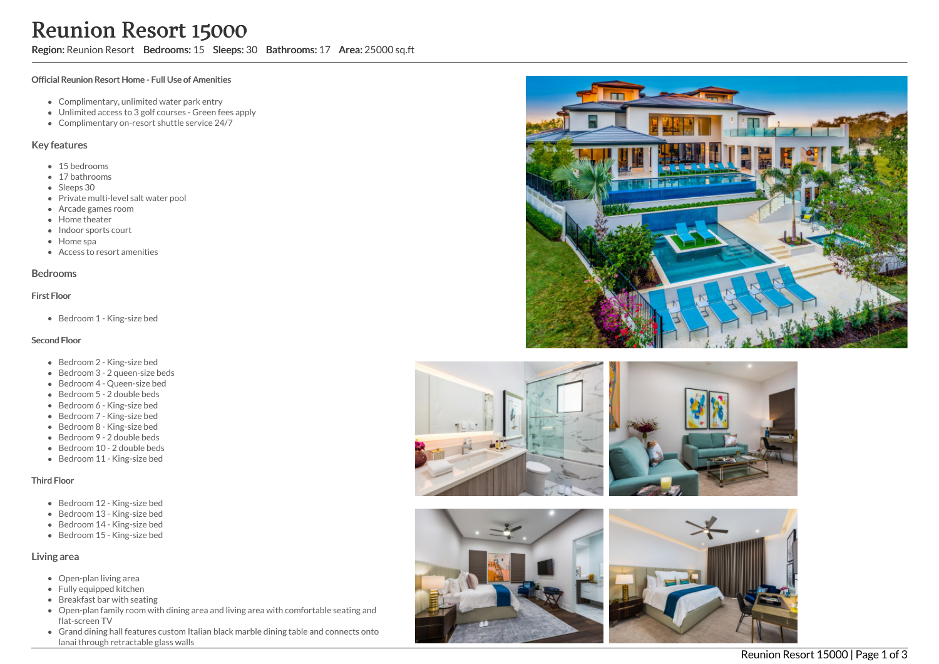Region: Reunion Resort Bedrooms: 15 Sleeps: 30 Bathrooms: 17 Area: 25000 sq.ft

### Official Reunion Resort Home - Full Use of Amenities

- Complimentary, unlimited water park entry
- Unlimited access to 3 golf courses Green fees apply
- Complimentary on-resort shuttle service 24/7

## Key features

- 15 bedrooms
- 17 bathrooms
- Sleeps 30
- Private multi-level salt water pool
- Arcade games room
- Home theater
- Indoor sports court
- Home spa
- Access to resort amenities

### Bedrooms

### First Floor

Bedroom 1 - King-size bed

### Second Floor

- Bedroom 2 King-size bed
- Bedroom 3 2 queen-size beds
- Bedroom 4 Queen-size bed
- Bedroom 5 2 double beds
- Bedroom 6 King-size bed
- Bedroom 7 King-size bed
- Bedroom 8 King-size bed
- Bedroom 9 2 double beds
- Bedroom 10 2 double beds
- Bedroom 11 King-size bed

### Third Floor

- Bedroom 12 King-size bed
- Bedroom 13 King-size bed
- Bedroom 14 King-size bed
- Bedroom 15 King-size bed

# Living area

- Open-plan living area
- Fully equipped kitchen
- Breakfast bar with seating
- Open-plan family room with dining area and living area with comfortable seating and flat-screen TV
- Grand dining hall features custom Italian black marble dining table and connects onto lanai through retractable glass walls









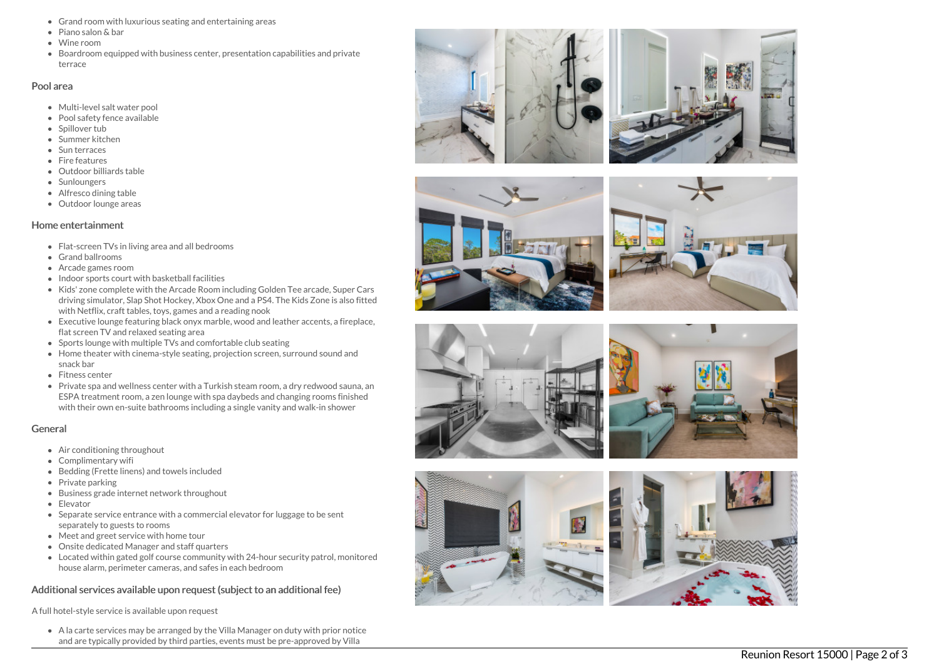- Grand room with luxurious seating and entertaining areas
- Piano salon & bar
- Wine room
- Boardroom equipped with business center, presentation capabilities and private terrace

## Pool area

- Multi-level salt water pool
- Pool safety fence available
- Spillover tub
- Summer kitchen
- Sun terraces
- Fire features
- Outdoor billiards table
- Sunloungers
- Alfresco dining table
- Outdoor lounge areas

# Home entertainment

- Flat-screen TVs in living area and all bedrooms
- G r a n d b allr o o m s
- Arcade games room
- Indoor sports court with basketball facilities
- Kids' zone complete with the Arcade Room including Golden Tee arcade, Super Cars driving simulator, Slap Shot Hockey, Xbox One and a PS4. The Kids Zone is also fitted with Netflix, craft tables, toys, games and a reading nook
- Executive lounge featuring black onyx marble, wood and leather accents, a fireplace, flat screen TV and relaxed seating area
- Sports lounge with multiple TVs and comfortable club seating
- Home theater with cinema-style seating, projection screen, surround sound and snack bar
- Fitness center
- Private spa and wellness center with a Turkish steam room, a dry redwood sauna, an ESPA treatment room, a zen lounge with spa daybeds and changing rooms finished with their own en-suite bathrooms including a single vanity and walk-in shower

# General

- Air conditioning throughout
- Complimentary wifi
- Bedding (Frette linens) and towels included
- Private parking
- Business grade internet network throughout
- Elevator
- Separate service entrance with a commercial elevator for luggage to be sent separately to guests to rooms
- Meet and greet service with home tour
- Onsite dedicated Manager and staff quarters
- Located within gated golf course community with 24-hour security patrol, monitored house alarm, perimeter cameras, and safes in each bedroom

# Additional services available upon request (subject to an additional fee)

A full hotel-style service is available upon request

A la carte services may be arranged by the Villa Manager on duty with prior notice and are typically provided by third parties, events must be pre-approved by Villa